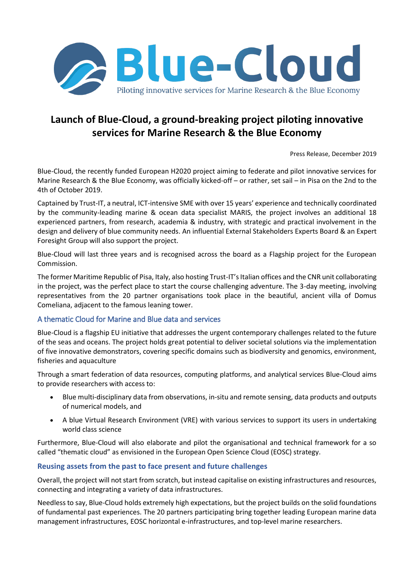

# **Launch of Blue-Cloud, a ground-breaking project piloting innovative services for Marine Research & the Blue Economy**

Press Release, December 2019

Blue-Cloud, the recently funded European H2020 project aiming to federate and pilot innovative services for Marine Research & the Blue Economy, was officially kicked-off – or rather, set sail – in Pisa on the 2nd to the 4th of October 2019.

Captained by Trust-IT, a neutral, ICT-intensive SME with over 15 years' experience and technically coordinated by the community-leading marine & ocean data specialist MARIS, the project involves an additional 18 experienced partners, from research, academia & industry, with strategic and practical involvement in the design and delivery of blue community needs. An influential External Stakeholders Experts Board & an Expert Foresight Group will also support the project.

Blue-Cloud will last three years and is recognised across the board as a Flagship project for the European Commission.

The former Maritime Republic of Pisa, Italy, also hosting Trust-IT's Italian offices and the CNR unit collaborating in the project, was the perfect place to start the course challenging adventure. The 3-day meeting, involving representatives from the 20 partner organisations took place in the beautiful, ancient villa of Domus Comeliana, adjacent to the famous leaning tower.

# A thematic Cloud for Marine and Blue data and services

Blue-Cloud is a flagship EU initiative that addresses the urgent contemporary challenges related to the future of the seas and oceans. The project holds great potential to deliver societal solutions via the implementation of five innovative demonstrators, covering specific domains such as biodiversity and genomics, environment, fisheries and aquaculture

Through a smart federation of data resources, computing platforms, and analytical services Blue-Cloud aims to provide researchers with access to:

- Blue multi-disciplinary data from observations, in-situ and remote sensing, data products and outputs of numerical models, and
- A blue Virtual Research Environment (VRE) with various services to support its users in undertaking world class science

Furthermore, Blue-Cloud will also elaborate and pilot the organisational and technical framework for a so called "thematic cloud" as envisioned in the European Open Science Cloud (EOSC) strategy.

### **Reusing assets from the past to face present and future challenges**

Overall, the project will not start from scratch, but instead capitalise on existing infrastructures and resources, connecting and integrating a variety of data infrastructures.

Needless to say, Blue-Cloud holds extremely high expectations, but the project builds on the solid foundations of fundamental past experiences. The 20 partners participating bring together leading European marine data management infrastructures, EOSC horizontal e-infrastructures, and top-level marine researchers.